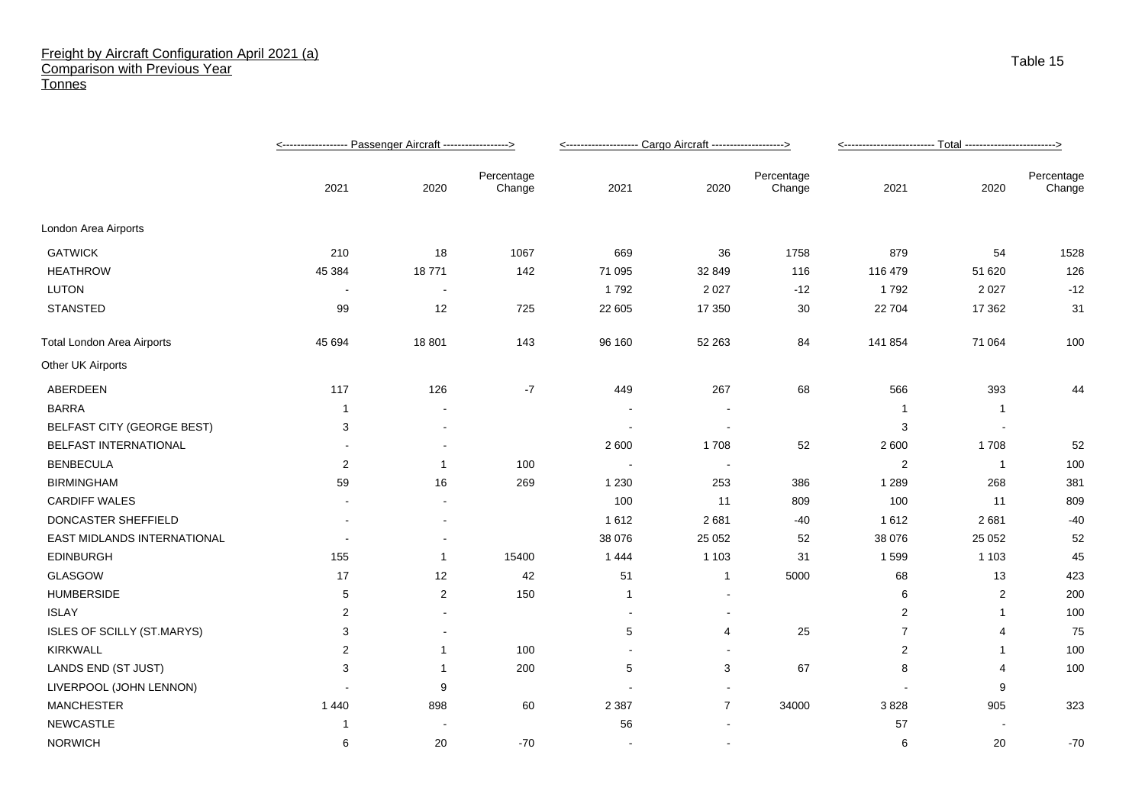## Freight by Aircraft Configuration April 2021 (a) Comparison with Previous Year **Tonnes**

|                                   |                |                          |                      | <-------------------- Cargo Aircraft -------------------> |                |                      |                |                |                      |
|-----------------------------------|----------------|--------------------------|----------------------|-----------------------------------------------------------|----------------|----------------------|----------------|----------------|----------------------|
|                                   | 2021           | 2020                     | Percentage<br>Change | 2021                                                      | 2020           | Percentage<br>Change | 2021           | 2020           | Percentage<br>Change |
| London Area Airports              |                |                          |                      |                                                           |                |                      |                |                |                      |
| <b>GATWICK</b>                    | 210            | 18                       | 1067                 | 669                                                       | 36             | 1758                 | 879            | 54             | 1528                 |
| <b>HEATHROW</b>                   | 45 384         | 18771                    | 142                  | 71 095                                                    | 32 849         | 116                  | 116 479        | 51 620         | 126                  |
| <b>LUTON</b>                      | $\blacksquare$ | $\blacksquare$           |                      | 1792                                                      | 2 0 2 7        | $-12$                | 1792           | 2 0 2 7        | $-12$                |
| <b>STANSTED</b>                   | 99             | 12                       | 725                  | 22 605                                                    | 17 350         | 30                   | 22 704         | 17 362         | 31                   |
| <b>Total London Area Airports</b> | 45 694         | 18 801                   | 143                  | 96 160                                                    | 52 263         | 84                   | 141 854        | 71 064         | 100                  |
| Other UK Airports                 |                |                          |                      |                                                           |                |                      |                |                |                      |
| ABERDEEN                          | 117            | 126                      | $-7$                 | 449                                                       | 267            | 68                   | 566            | 393            | 44                   |
| <b>BARRA</b>                      | -1             |                          |                      |                                                           |                |                      | -1             | $\overline{1}$ |                      |
| <b>BELFAST CITY (GEORGE BEST)</b> | 3              |                          |                      |                                                           |                |                      | 3              |                |                      |
| BELFAST INTERNATIONAL             |                |                          |                      | 2 600                                                     | 1708           | 52                   | 2 600          | 1708           | 52                   |
| <b>BENBECULA</b>                  | $\overline{2}$ |                          | 100                  | $\blacksquare$                                            | $\blacksquare$ |                      | $\overline{2}$ | $\overline{1}$ | 100                  |
| <b>BIRMINGHAM</b>                 | 59             | 16                       | 269                  | 1 2 3 0                                                   | 253            | 386                  | 1 2 8 9        | 268            | 381                  |
| <b>CARDIFF WALES</b>              |                |                          |                      | 100                                                       | 11             | 809                  | 100            | 11             | 809                  |
| DONCASTER SHEFFIELD               |                |                          |                      | 1612                                                      | 2681           | $-40$                | 1 6 1 2        | 2681           | $-40$                |
| EAST MIDLANDS INTERNATIONAL       |                |                          |                      | 38 076                                                    | 25 0 52        | 52                   | 38 076         | 25 052         | 52                   |
| <b>EDINBURGH</b>                  | 155            | -1                       | 15400                | 1444                                                      | 1 1 0 3        | 31                   | 1599           | 1 1 0 3        | 45                   |
| <b>GLASGOW</b>                    | 17             | 12                       | 42                   | 51                                                        | $\mathbf{1}$   | 5000                 | 68             | 13             | 423                  |
| <b>HUMBERSIDE</b>                 | 5              | 2                        | 150                  | $\mathbf{1}$                                              |                |                      | 6              | 2              | 200                  |
| <b>ISLAY</b>                      | $\overline{2}$ |                          |                      |                                                           | ٠              |                      | 2              | -1             | 100                  |
| ISLES OF SCILLY (ST.MARYS)        | 3              | $\overline{\phantom{a}}$ |                      | 5                                                         | $\overline{4}$ | 25                   | $\overline{7}$ | 4              | 75                   |
| <b>KIRKWALL</b>                   | $\overline{2}$ | -1                       | 100                  | $\sim$                                                    | $\blacksquare$ |                      | $\overline{2}$ | -1             | 100                  |
| LANDS END (ST JUST)               | 3              |                          | 200                  | 5                                                         | 3              | 67                   | 8              | 4              | 100                  |
| LIVERPOOL (JOHN LENNON)           |                | 9                        |                      |                                                           |                |                      |                | 9              |                      |
| <b>MANCHESTER</b>                 | 1 4 4 0        | 898                      | 60                   | 2 3 8 7                                                   | $\overline{7}$ | 34000                | 3828           | 905            | 323                  |
| <b>NEWCASTLE</b>                  |                |                          |                      | 56                                                        |                |                      | 57             |                |                      |
| <b>NORWICH</b>                    | 6              | 20                       | $-70$                | $\sim$                                                    | $\mathbf{r}$   |                      | 6              | 20             | $-70$                |